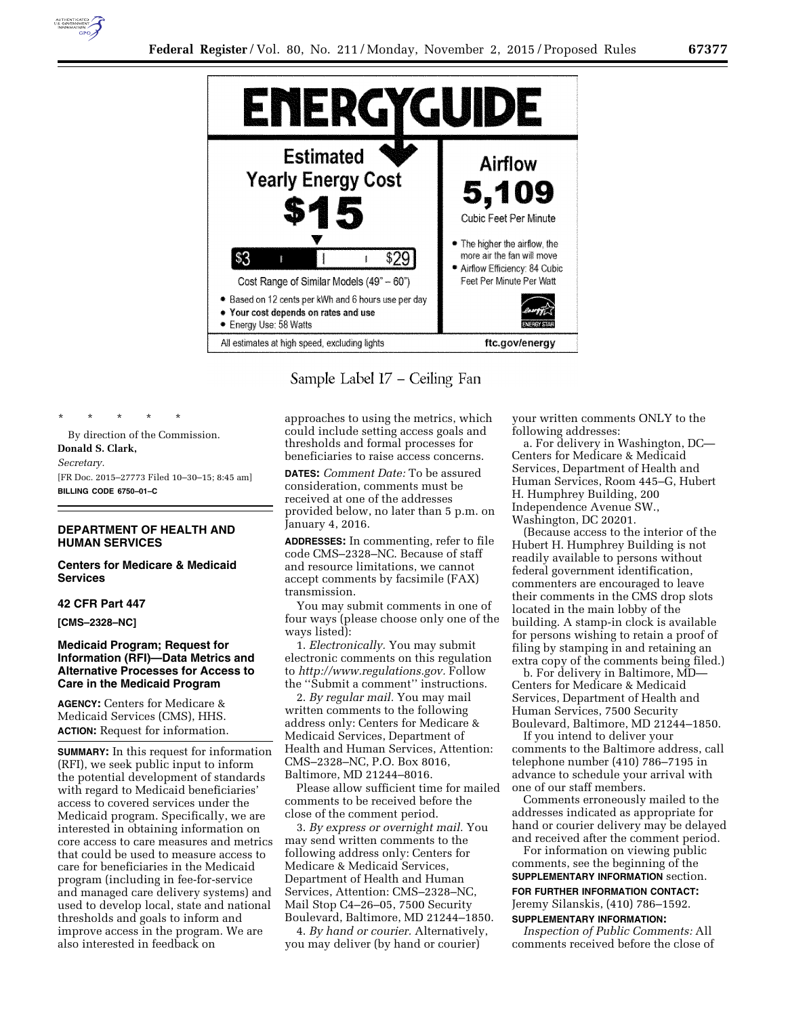

Sample Label 17 – Ceiling Fan

By direction of the Commission. **Donald S. Clark,**  *Secretary.*  [FR Doc. 2015–27773 Filed 10–30–15; 8:45 am] **BILLING CODE 6750–01–C** 

\* \* \* \* \*

# **DEPARTMENT OF HEALTH AND HUMAN SERVICES**

**Centers for Medicare & Medicaid Services** 

## **42 CFR Part 447**

**[CMS–2328–NC]** 

# **Medicaid Program; Request for Information (RFI)—Data Metrics and Alternative Processes for Access to Care in the Medicaid Program**

**AGENCY:** Centers for Medicare & Medicaid Services (CMS), HHS. **ACTION:** Request for information.

**SUMMARY:** In this request for information (RFI), we seek public input to inform the potential development of standards with regard to Medicaid beneficiaries' access to covered services under the Medicaid program. Specifically, we are interested in obtaining information on core access to care measures and metrics that could be used to measure access to care for beneficiaries in the Medicaid program (including in fee-for-service and managed care delivery systems) and used to develop local, state and national thresholds and goals to inform and improve access in the program. We are also interested in feedback on

approaches to using the metrics, which could include setting access goals and thresholds and formal processes for beneficiaries to raise access concerns.

**DATES:** *Comment Date:* To be assured consideration, comments must be received at one of the addresses provided below, no later than 5 p.m. on January 4, 2016.

**ADDRESSES:** In commenting, refer to file code CMS–2328–NC. Because of staff and resource limitations, we cannot accept comments by facsimile (FAX) transmission.

You may submit comments in one of four ways (please choose only one of the ways listed):

1. *Electronically.* You may submit electronic comments on this regulation to *http://www.regulations.gov.* Follow the ''Submit a comment'' instructions.

2. *By regular mail.* You may mail written comments to the following address only: Centers for Medicare & Medicaid Services, Department of Health and Human Services, Attention: CMS–2328–NC, P.O. Box 8016, Baltimore, MD 21244–8016.

Please allow sufficient time for mailed comments to be received before the close of the comment period.

3. *By express or overnight mail.* You may send written comments to the following address only: Centers for Medicare & Medicaid Services, Department of Health and Human Services, Attention: CMS–2328–NC, Mail Stop C4–26–05, 7500 Security Boulevard, Baltimore, MD 21244–1850.

4. *By hand or courier.* Alternatively, you may deliver (by hand or courier)

your written comments ONLY to the following addresses:

a. For delivery in Washington, DC— Centers for Medicare & Medicaid Services, Department of Health and Human Services, Room 445–G, Hubert H. Humphrey Building, 200 Independence Avenue SW., Washington, DC 20201.

(Because access to the interior of the Hubert H. Humphrey Building is not readily available to persons without federal government identification, commenters are encouraged to leave their comments in the CMS drop slots located in the main lobby of the building. A stamp-in clock is available for persons wishing to retain a proof of filing by stamping in and retaining an extra copy of the comments being filed.)

b. For delivery in Baltimore, MD— Centers for Medicare & Medicaid Services, Department of Health and Human Services, 7500 Security Boulevard, Baltimore, MD 21244–1850.

If you intend to deliver your comments to the Baltimore address, call telephone number (410) 786–7195 in advance to schedule your arrival with one of our staff members.

Comments erroneously mailed to the addresses indicated as appropriate for hand or courier delivery may be delayed and received after the comment period.

For information on viewing public comments, see the beginning of the **SUPPLEMENTARY INFORMATION** section. **FOR FURTHER INFORMATION CONTACT:**  Jeremy Silanskis, (410) 786–1592. **SUPPLEMENTARY INFORMATION:** 

*Inspection of Public Comments:* All comments received before the close of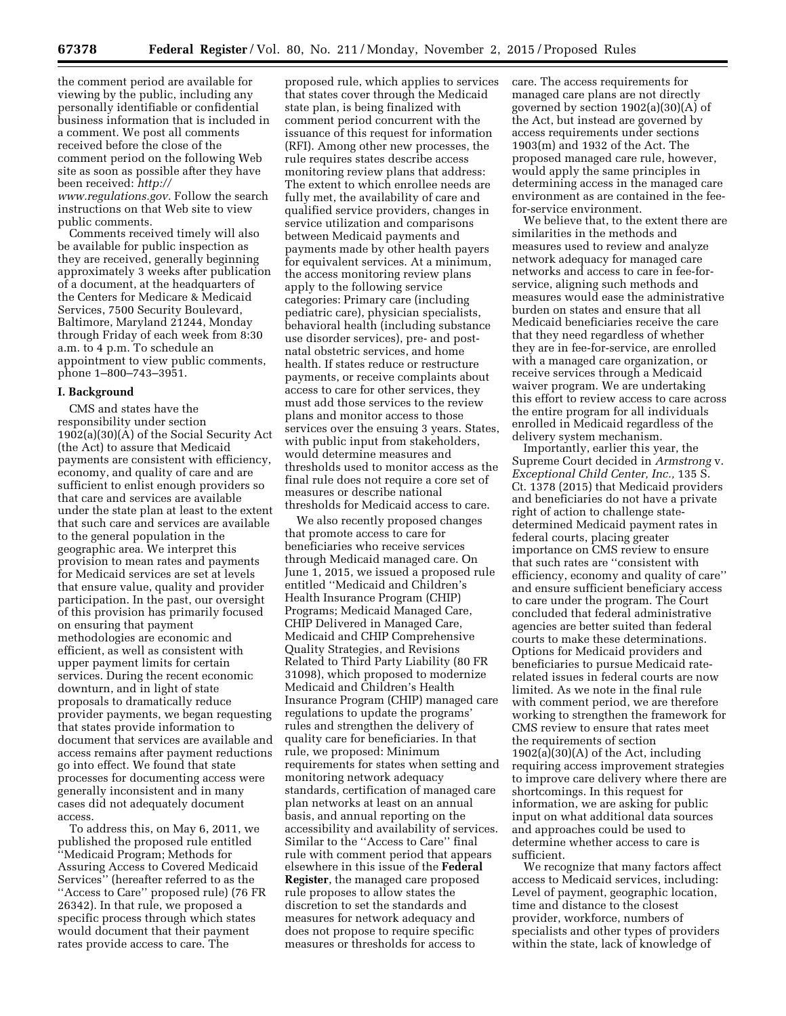the comment period are available for viewing by the public, including any personally identifiable or confidential business information that is included in a comment. We post all comments received before the close of the comment period on the following Web site as soon as possible after they have been received: *http:// www.regulations.gov.* Follow the search instructions on that Web site to view public comments.

Comments received timely will also be available for public inspection as they are received, generally beginning approximately 3 weeks after publication of a document, at the headquarters of the Centers for Medicare & Medicaid Services, 7500 Security Boulevard, Baltimore, Maryland 21244, Monday through Friday of each week from 8:30 a.m. to 4 p.m. To schedule an appointment to view public comments, phone 1–800–743–3951.

### **I. Background**

CMS and states have the responsibility under section 1902(a)(30)(A) of the Social Security Act (the Act) to assure that Medicaid payments are consistent with efficiency, economy, and quality of care and are sufficient to enlist enough providers so that care and services are available under the state plan at least to the extent that such care and services are available to the general population in the geographic area. We interpret this provision to mean rates and payments for Medicaid services are set at levels that ensure value, quality and provider participation. In the past, our oversight of this provision has primarily focused on ensuring that payment methodologies are economic and efficient, as well as consistent with upper payment limits for certain services. During the recent economic downturn, and in light of state proposals to dramatically reduce provider payments, we began requesting that states provide information to document that services are available and access remains after payment reductions go into effect. We found that state processes for documenting access were generally inconsistent and in many cases did not adequately document access.

To address this, on May 6, 2011, we published the proposed rule entitled 'Medicaid Program; Methods for Assuring Access to Covered Medicaid Services'' (hereafter referred to as the ''Access to Care'' proposed rule) (76 FR 26342). In that rule, we proposed a specific process through which states would document that their payment rates provide access to care. The

proposed rule, which applies to services that states cover through the Medicaid state plan, is being finalized with comment period concurrent with the issuance of this request for information (RFI). Among other new processes, the rule requires states describe access monitoring review plans that address: The extent to which enrollee needs are fully met, the availability of care and qualified service providers, changes in service utilization and comparisons between Medicaid payments and payments made by other health payers for equivalent services. At a minimum, the access monitoring review plans apply to the following service categories: Primary care (including pediatric care), physician specialists, behavioral health (including substance use disorder services), pre- and postnatal obstetric services, and home health. If states reduce or restructure payments, or receive complaints about access to care for other services, they must add those services to the review plans and monitor access to those services over the ensuing 3 years. States, with public input from stakeholders, would determine measures and thresholds used to monitor access as the final rule does not require a core set of measures or describe national thresholds for Medicaid access to care.

We also recently proposed changes that promote access to care for beneficiaries who receive services through Medicaid managed care. On June 1, 2015, we issued a proposed rule entitled ''Medicaid and Children's Health Insurance Program (CHIP) Programs; Medicaid Managed Care, CHIP Delivered in Managed Care, Medicaid and CHIP Comprehensive Quality Strategies, and Revisions Related to Third Party Liability (80 FR 31098), which proposed to modernize Medicaid and Children's Health Insurance Program (CHIP) managed care regulations to update the programs' rules and strengthen the delivery of quality care for beneficiaries. In that rule, we proposed: Minimum requirements for states when setting and monitoring network adequacy standards, certification of managed care plan networks at least on an annual basis, and annual reporting on the accessibility and availability of services. Similar to the ''Access to Care'' final rule with comment period that appears elsewhere in this issue of the **Federal Register**, the managed care proposed rule proposes to allow states the discretion to set the standards and measures for network adequacy and does not propose to require specific measures or thresholds for access to

care. The access requirements for managed care plans are not directly governed by section 1902(a)(30)(A) of the Act, but instead are governed by access requirements under sections 1903(m) and 1932 of the Act. The proposed managed care rule, however, would apply the same principles in determining access in the managed care environment as are contained in the feefor-service environment.

We believe that, to the extent there are similarities in the methods and measures used to review and analyze network adequacy for managed care networks and access to care in fee-forservice, aligning such methods and measures would ease the administrative burden on states and ensure that all Medicaid beneficiaries receive the care that they need regardless of whether they are in fee-for-service, are enrolled with a managed care organization, or receive services through a Medicaid waiver program. We are undertaking this effort to review access to care across the entire program for all individuals enrolled in Medicaid regardless of the delivery system mechanism.

Importantly, earlier this year, the Supreme Court decided in *Armstrong* v. *Exceptional Child Center, Inc.,* 135 S. Ct. 1378 (2015) that Medicaid providers and beneficiaries do not have a private right of action to challenge statedetermined Medicaid payment rates in federal courts, placing greater importance on CMS review to ensure that such rates are ''consistent with efficiency, economy and quality of care'' and ensure sufficient beneficiary access to care under the program. The Court concluded that federal administrative agencies are better suited than federal courts to make these determinations. Options for Medicaid providers and beneficiaries to pursue Medicaid raterelated issues in federal courts are now limited. As we note in the final rule with comment period, we are therefore working to strengthen the framework for CMS review to ensure that rates meet the requirements of section 1902(a)(30)(A) of the Act, including requiring access improvement strategies to improve care delivery where there are shortcomings. In this request for information, we are asking for public input on what additional data sources and approaches could be used to determine whether access to care is sufficient.

We recognize that many factors affect access to Medicaid services, including: Level of payment, geographic location, time and distance to the closest provider, workforce, numbers of specialists and other types of providers within the state, lack of knowledge of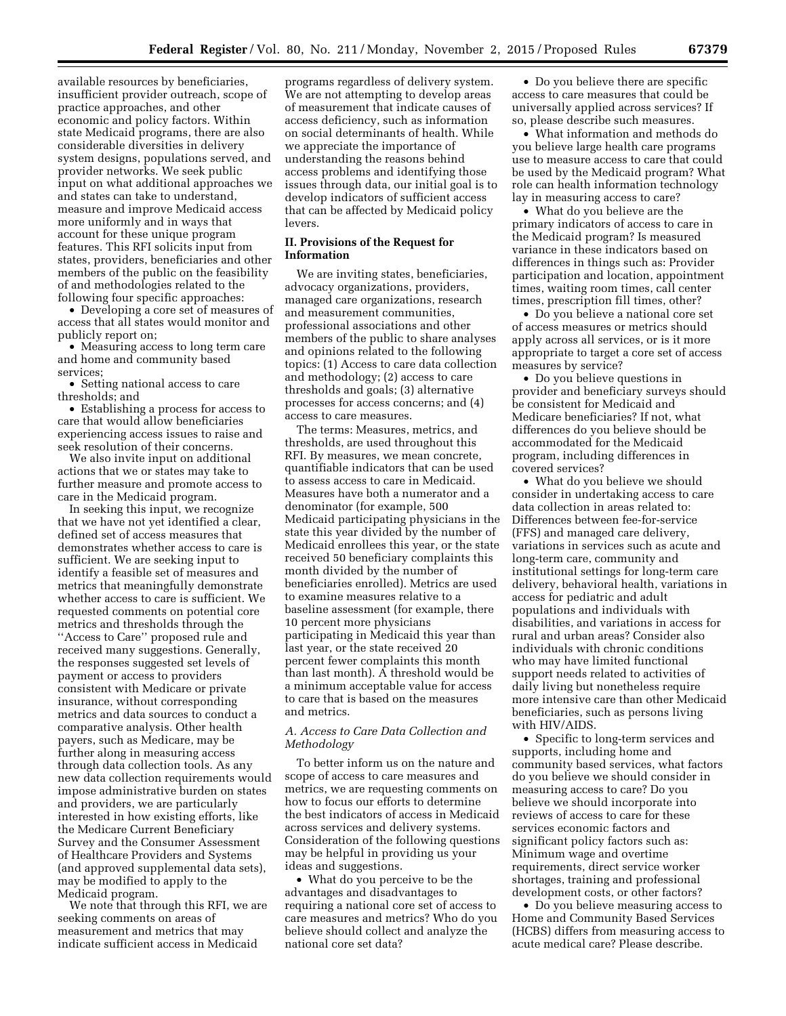available resources by beneficiaries, insufficient provider outreach, scope of practice approaches, and other economic and policy factors. Within state Medicaid programs, there are also considerable diversities in delivery system designs, populations served, and provider networks. We seek public input on what additional approaches we and states can take to understand, measure and improve Medicaid access more uniformly and in ways that account for these unique program features. This RFI solicits input from states, providers, beneficiaries and other members of the public on the feasibility of and methodologies related to the following four specific approaches:

• Developing a core set of measures of access that all states would monitor and publicly report on;

• Measuring access to long term care and home and community based services;

• Setting national access to care thresholds; and

• Establishing a process for access to care that would allow beneficiaries experiencing access issues to raise and seek resolution of their concerns.

We also invite input on additional actions that we or states may take to further measure and promote access to care in the Medicaid program.

In seeking this input, we recognize that we have not yet identified a clear, defined set of access measures that demonstrates whether access to care is sufficient. We are seeking input to identify a feasible set of measures and metrics that meaningfully demonstrate whether access to care is sufficient. We requested comments on potential core metrics and thresholds through the ''Access to Care'' proposed rule and received many suggestions. Generally, the responses suggested set levels of payment or access to providers consistent with Medicare or private insurance, without corresponding metrics and data sources to conduct a comparative analysis. Other health payers, such as Medicare, may be further along in measuring access through data collection tools. As any new data collection requirements would impose administrative burden on states and providers, we are particularly interested in how existing efforts, like the Medicare Current Beneficiary Survey and the Consumer Assessment of Healthcare Providers and Systems (and approved supplemental data sets), may be modified to apply to the Medicaid program.

We note that through this RFI, we are seeking comments on areas of measurement and metrics that may indicate sufficient access in Medicaid

programs regardless of delivery system. We are not attempting to develop areas of measurement that indicate causes of access deficiency, such as information on social determinants of health. While we appreciate the importance of understanding the reasons behind access problems and identifying those issues through data, our initial goal is to develop indicators of sufficient access that can be affected by Medicaid policy levers.

### **II. Provisions of the Request for Information**

We are inviting states, beneficiaries, advocacy organizations, providers, managed care organizations, research and measurement communities, professional associations and other members of the public to share analyses and opinions related to the following topics: (1) Access to care data collection and methodology; (2) access to care thresholds and goals; (3) alternative processes for access concerns; and (4) access to care measures.

The terms: Measures, metrics, and thresholds, are used throughout this RFI. By measures, we mean concrete, quantifiable indicators that can be used to assess access to care in Medicaid. Measures have both a numerator and a denominator (for example, 500 Medicaid participating physicians in the state this year divided by the number of Medicaid enrollees this year, or the state received 50 beneficiary complaints this month divided by the number of beneficiaries enrolled). Metrics are used to examine measures relative to a baseline assessment (for example, there 10 percent more physicians participating in Medicaid this year than last year, or the state received 20 percent fewer complaints this month than last month). A threshold would be a minimum acceptable value for access to care that is based on the measures and metrics.

## *A. Access to Care Data Collection and Methodology*

To better inform us on the nature and scope of access to care measures and metrics, we are requesting comments on how to focus our efforts to determine the best indicators of access in Medicaid across services and delivery systems. Consideration of the following questions may be helpful in providing us your ideas and suggestions.

• What do you perceive to be the advantages and disadvantages to requiring a national core set of access to care measures and metrics? Who do you believe should collect and analyze the national core set data?

• Do you believe there are specific access to care measures that could be universally applied across services? If so, please describe such measures.

• What information and methods do you believe large health care programs use to measure access to care that could be used by the Medicaid program? What role can health information technology lay in measuring access to care?

• What do you believe are the primary indicators of access to care in the Medicaid program? Is measured variance in these indicators based on differences in things such as: Provider participation and location, appointment times, waiting room times, call center times, prescription fill times, other?

• Do you believe a national core set of access measures or metrics should apply across all services, or is it more appropriate to target a core set of access measures by service?

• Do you believe questions in provider and beneficiary surveys should be consistent for Medicaid and Medicare beneficiaries? If not, what differences do you believe should be accommodated for the Medicaid program, including differences in covered services?

• What do you believe we should consider in undertaking access to care data collection in areas related to: Differences between fee-for-service (FFS) and managed care delivery, variations in services such as acute and long-term care, community and institutional settings for long-term care delivery, behavioral health, variations in access for pediatric and adult populations and individuals with disabilities, and variations in access for rural and urban areas? Consider also individuals with chronic conditions who may have limited functional support needs related to activities of daily living but nonetheless require more intensive care than other Medicaid beneficiaries, such as persons living with HIV/AIDS.

• Specific to long-term services and supports, including home and community based services, what factors do you believe we should consider in measuring access to care? Do you believe we should incorporate into reviews of access to care for these services economic factors and significant policy factors such as: Minimum wage and overtime requirements, direct service worker shortages, training and professional development costs, or other factors?

• Do you believe measuring access to Home and Community Based Services (HCBS) differs from measuring access to acute medical care? Please describe.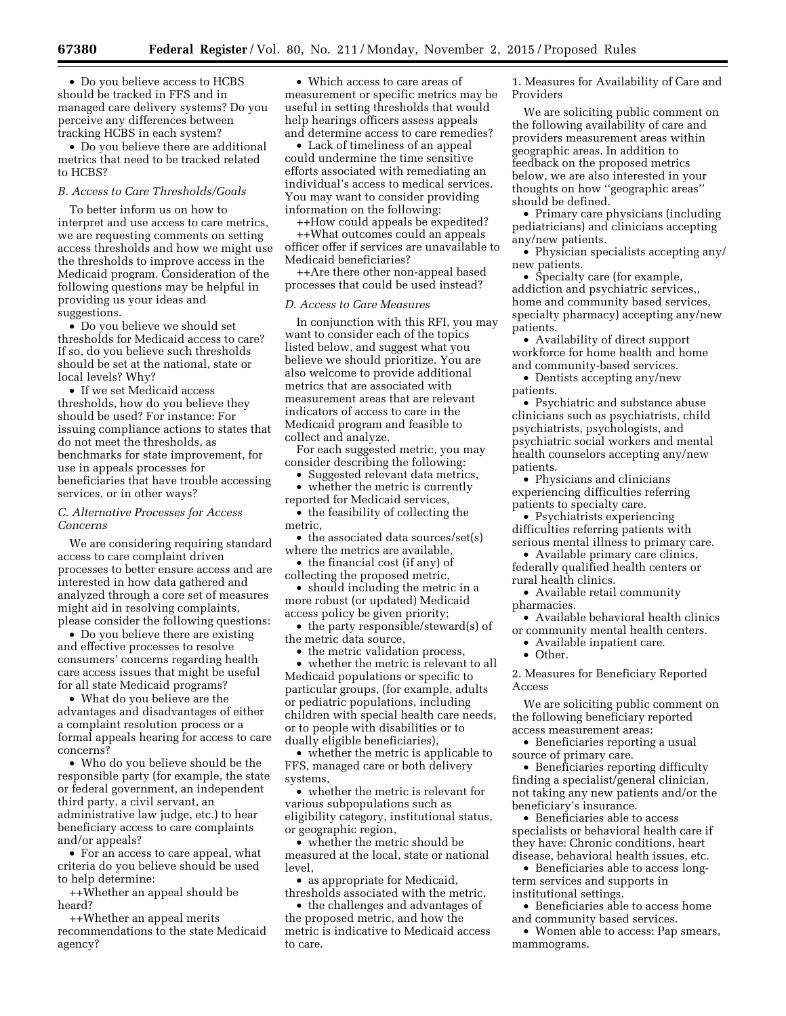• Do you believe access to HCBS should be tracked in FFS and in managed care delivery systems? Do you perceive any differences between tracking HCBS in each system?

• Do you believe there are additional metrics that need to be tracked related to HCBS?

## *B. Access to Care Thresholds/Goals*

To better inform us on how to interpret and use access to care metrics, we are requesting comments on setting access thresholds and how we might use the thresholds to improve access in the Medicaid program. Consideration of the following questions may be helpful in providing us your ideas and suggestions.

• Do you believe we should set thresholds for Medicaid access to care? If so, do you believe such thresholds should be set at the national, state or local levels? Why?

• If we set Medicaid access thresholds, how do you believe they should be used? For instance: For issuing compliance actions to states that do not meet the thresholds, as benchmarks for state improvement, for use in appeals processes for beneficiaries that have trouble accessing services, or in other ways?

### *C. Alternative Processes for Access Concerns*

We are considering requiring standard access to care complaint driven processes to better ensure access and are interested in how data gathered and analyzed through a core set of measures might aid in resolving complaints, please consider the following questions:

• Do you believe there are existing and effective processes to resolve consumers' concerns regarding health care access issues that might be useful for all state Medicaid programs?

• What do you believe are the advantages and disadvantages of either a complaint resolution process or a formal appeals hearing for access to care concerns?

• Who do you believe should be the responsible party (for example, the state or federal government, an independent third party, a civil servant, an administrative law judge, etc.) to hear beneficiary access to care complaints and/or appeals?

• For an access to care appeal, what criteria do you believe should be used to help determine:

++Whether an appeal should be heard?

++Whether an appeal merits recommendations to the state Medicaid agency?

• Which access to care areas of measurement or specific metrics may be useful in setting thresholds that would help hearings officers assess appeals and determine access to care remedies?

• Lack of timeliness of an appeal could undermine the time sensitive efforts associated with remediating an individual's access to medical services. You may want to consider providing information on the following:

++How could appeals be expedited? ++What outcomes could an appeals officer offer if services are unavailable to Medicaid beneficiaries?

++Are there other non-appeal based processes that could be used instead?

#### *D. Access to Care Measures*

In conjunction with this RFI, you may want to consider each of the topics listed below, and suggest what you believe we should prioritize. You are also welcome to provide additional metrics that are associated with measurement areas that are relevant indicators of access to care in the Medicaid program and feasible to collect and analyze.

For each suggested metric, you may consider describing the following:

• Suggested relevant data metrics, whether the metric is currently

reported for Medicaid services, • the feasibility of collecting the

metric,

• the associated data sources/set(s) where the metrics are available,

• the financial cost (if any) of

collecting the proposed metric, • should including the metric in a more robust (or updated) Medicaid access policy be given priority;

• the party responsible/steward(s) of the metric data source,

• the metric validation process,

• whether the metric is relevant to all Medicaid populations or specific to particular groups, (for example, adults or pediatric populations, including children with special health care needs, or to people with disabilities or to dually eligible beneficiaries),

• whether the metric is applicable to FFS, managed care or both delivery systems,

• whether the metric is relevant for various subpopulations such as eligibility category, institutional status, or geographic region,

• whether the metric should be measured at the local, state or national level,

• as appropriate for Medicaid, thresholds associated with the metric,

• the challenges and advantages of the proposed metric, and how the metric is indicative to Medicaid access to care.

1. Measures for Availability of Care and Providers

We are soliciting public comment on the following availability of care and providers measurement areas within geographic areas. In addition to feedback on the proposed metrics below, we are also interested in your thoughts on how ''geographic areas'' should be defined.

• Primary care physicians (including pediatricians) and clinicians accepting any/new patients.

• Physician specialists accepting any/ new patients.

• Specialty care (for example, addiction and psychiatric services,, home and community based services, specialty pharmacy) accepting any/new patients.

• Availability of direct support workforce for home health and home and community-based services.

• Dentists accepting any/new patients.

• Psychiatric and substance abuse clinicians such as psychiatrists, child psychiatrists, psychologists, and psychiatric social workers and mental health counselors accepting any/new patients.

• Physicians and clinicians experiencing difficulties referring patients to specialty care.

• Psychiatrists experiencing difficulties referring patients with serious mental illness to primary care.

• Available primary care clinics, federally qualified health centers or rural health clinics.

• Available retail community pharmacies.

• Available behavioral health clinics or community mental health centers.

• Available inpatient care.

• Other.

2. Measures for Beneficiary Reported Access

We are soliciting public comment on the following beneficiary reported access measurement areas:

• Beneficiaries reporting a usual source of primary care.

• Beneficiaries reporting difficulty finding a specialist/general clinician, not taking any new patients and/or the beneficiary's insurance.

• Beneficiaries able to access specialists or behavioral health care if they have: Chronic conditions, heart disease, behavioral health issues, etc.

• Beneficiaries able to access longterm services and supports in institutional settings.

• Beneficiaries able to access home and community based services.

• Women able to access: Pap smears, mammograms.